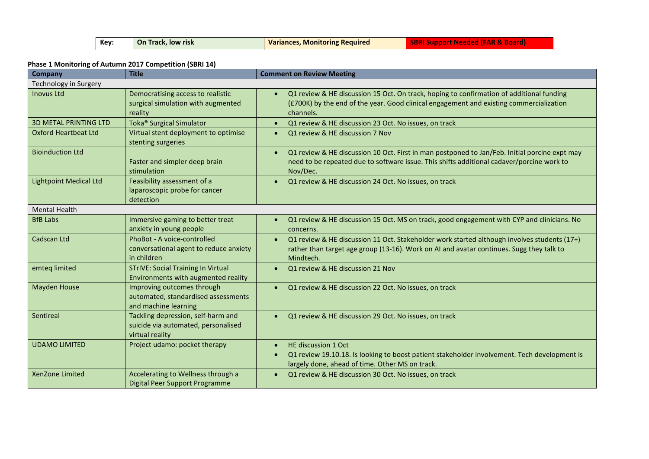| Key: | On Track, low risk | <b>Variances, Monitoring Required</b> | <b>SBRI Support Needed (FAR &amp; Board)</b> |
|------|--------------------|---------------------------------------|----------------------------------------------|
|------|--------------------|---------------------------------------|----------------------------------------------|

### **Phase 1 Monitoring of Autumn 2017 Competition (SBRI 14)**

| <b>Company</b>                | <b>Title</b>                                                                                 | <b>Comment on Review Meeting</b>                                                                                                                                                                                    |
|-------------------------------|----------------------------------------------------------------------------------------------|---------------------------------------------------------------------------------------------------------------------------------------------------------------------------------------------------------------------|
| Technology in Surgery         |                                                                                              |                                                                                                                                                                                                                     |
| <b>Inovus Ltd</b>             | Democratising access to realistic<br>surgical simulation with augmented<br>reality           | Q1 review & HE discussion 15 Oct. On track, hoping to confirmation of additional funding<br>(£700K) by the end of the year. Good clinical engagement and existing commercialization<br>channels.                    |
| <b>3D METAL PRINTING LTD</b>  | Toka <sup>®</sup> Surgical Simulator                                                         | Q1 review & HE discussion 23 Oct. No issues, on track<br>$\bullet$                                                                                                                                                  |
| <b>Oxford Heartbeat Ltd</b>   | Virtual stent deployment to optimise<br>stenting surgeries                                   | Q1 review & HE discussion 7 Nov                                                                                                                                                                                     |
| <b>Bioinduction Ltd</b>       | Faster and simpler deep brain<br>stimulation                                                 | Q1 review & HE discussion 10 Oct. First in man postponed to Jan/Feb. Initial porcine expt may<br>$\bullet$<br>need to be repeated due to software issue. This shifts additional cadaver/porcine work to<br>Nov/Dec. |
| <b>Lightpoint Medical Ltd</b> | Feasibility assessment of a<br>laparoscopic probe for cancer<br>detection                    | Q1 review & HE discussion 24 Oct. No issues, on track                                                                                                                                                               |
| <b>Mental Health</b>          |                                                                                              |                                                                                                                                                                                                                     |
| <b>BfB Labs</b>               | Immersive gaming to better treat<br>anxiety in young people                                  | Q1 review & HE discussion 15 Oct. MS on track, good engagement with CYP and clinicians. No<br>concerns.                                                                                                             |
| Cadscan Ltd                   | PhoBot - A voice-controlled<br>conversational agent to reduce anxiety<br>in children         | Q1 review & HE discussion 11 Oct. Stakeholder work started although involves students (17+)<br>rather than target age group (13-16). Work on AI and avatar continues. Sugg they talk to<br>Mindtech.                |
| emteg limited                 | <b>STrIVE: Social Training In Virtual</b><br>Environments with augmented reality             | Q1 review & HE discussion 21 Nov                                                                                                                                                                                    |
| <b>Mayden House</b>           | Improving outcomes through<br>automated, standardised assessments<br>and machine learning    | Q1 review & HE discussion 22 Oct. No issues, on track<br>$\bullet$                                                                                                                                                  |
| Sentireal                     | Tackling depression, self-harm and<br>suicide via automated, personalised<br>virtual reality | Q1 review & HE discussion 29 Oct. No issues, on track                                                                                                                                                               |
| <b>UDAMO LIMITED</b>          | Project udamo: pocket therapy                                                                | HE discussion 1 Oct<br>Q1 review 19.10.18. Is looking to boost patient stakeholder involvement. Tech development is<br>largely done, ahead of time. Other MS on track.                                              |
| XenZone Limited               | Accelerating to Wellness through a<br>Digital Peer Support Programme                         | Q1 review & HE discussion 30 Oct. No issues, on track                                                                                                                                                               |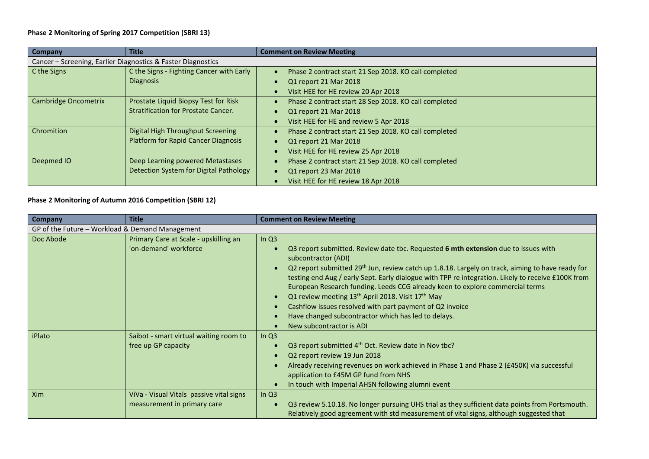### **Phase 2 Monitoring of Spring 2017 Competition (SBRI 13)**

| <b>Company</b>              | <b>Title</b>                                                 | <b>Comment on Review Meeting</b>                      |  |
|-----------------------------|--------------------------------------------------------------|-------------------------------------------------------|--|
|                             | Cancer - Screening, Earlier Diagnostics & Faster Diagnostics |                                                       |  |
| C the Signs                 | C the Signs - Fighting Cancer with Early                     | Phase 2 contract start 21 Sep 2018. KO call completed |  |
|                             | <b>Diagnosis</b>                                             | Q1 report 21 Mar 2018                                 |  |
|                             |                                                              | Visit HEE for HE review 20 Apr 2018                   |  |
| <b>Cambridge Oncometrix</b> | Prostate Liquid Biopsy Test for Risk                         | Phase 2 contract start 28 Sep 2018. KO call completed |  |
|                             | <b>Stratification for Prostate Cancer.</b>                   | Q1 report 21 Mar 2018                                 |  |
|                             |                                                              | Visit HEE for HE and review 5 Apr 2018                |  |
| Chromition                  | <b>Digital High Throughput Screening</b>                     | Phase 2 contract start 21 Sep 2018. KO call completed |  |
|                             | <b>Platform for Rapid Cancer Diagnosis</b>                   | Q1 report 21 Mar 2018                                 |  |
|                             |                                                              | Visit HEE for HE review 25 Apr 2018                   |  |
| Deepmed IO                  | Deep Learning powered Metastases                             | Phase 2 contract start 21 Sep 2018. KO call completed |  |
|                             | Detection System for Digital Pathology                       | Q1 report 23 Mar 2018                                 |  |
|                             |                                                              | Visit HEE for HE review 18 Apr 2018                   |  |

### **Phase 2 Monitoring of Autumn 2016 Competition (SBRI 12)**

| Company                                         | <b>Title</b>                                                            | <b>Comment on Review Meeting</b>                                                                                                                                                                                                                                                                                                                                                                                                                                                                                                                                                                                                                                                  |
|-------------------------------------------------|-------------------------------------------------------------------------|-----------------------------------------------------------------------------------------------------------------------------------------------------------------------------------------------------------------------------------------------------------------------------------------------------------------------------------------------------------------------------------------------------------------------------------------------------------------------------------------------------------------------------------------------------------------------------------------------------------------------------------------------------------------------------------|
| GP of the Future - Workload & Demand Management |                                                                         |                                                                                                                                                                                                                                                                                                                                                                                                                                                                                                                                                                                                                                                                                   |
| Doc Abode                                       | Primary Care at Scale - upskilling an<br>'on-demand' workforce          | In $Q3$<br>Q3 report submitted. Review date tbc. Requested 6 mth extension due to issues with<br>subcontractor (ADI)<br>Q2 report submitted 29 <sup>th</sup> Jun, review catch up 1.8.18. Largely on track, aiming to have ready for<br>$\bullet$<br>testing end Aug / early Sept. Early dialogue with TPP re integration. Likely to receive £100K from<br>European Research funding. Leeds CCG already keen to explore commercial terms<br>Q1 review meeting 13 <sup>th</sup> April 2018. Visit 17 <sup>th</sup> May<br>$\bullet$<br>Cashflow issues resolved with part payment of Q2 invoice<br>Have changed subcontractor which has led to delays.<br>New subcontractor is ADI |
| iPlato                                          | Saibot - smart virtual waiting room to<br>free up GP capacity           | In $Q3$<br>Q3 report submitted 4 <sup>th</sup> Oct. Review date in Nov tbc?<br>Q2 report review 19 Jun 2018<br>Already receiving revenues on work achieved in Phase 1 and Phase 2 (£450K) via successful<br>application to £45M GP fund from NHS<br>In touch with Imperial AHSN following alumni event                                                                                                                                                                                                                                                                                                                                                                            |
| Xim                                             | ViVa - Visual Vitals passive vital signs<br>measurement in primary care | In $Q3$<br>Q3 review 5.10.18. No longer pursuing UHS trial as they sufficient data points from Portsmouth.<br>Relatively good agreement with std measurement of vital signs, although suggested that                                                                                                                                                                                                                                                                                                                                                                                                                                                                              |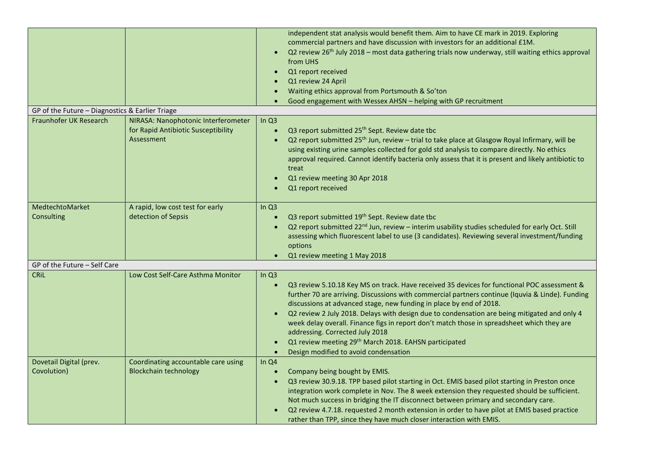| GP of the Future - Diagnostics & Earlier Triage |                                                                                          | independent stat analysis would benefit them. Aim to have CE mark in 2019. Exploring<br>commercial partners and have discussion with investors for an additional £1M.<br>Q2 review 26 <sup>th</sup> July 2018 - most data gathering trials now underway, still waiting ethics approval<br>from UHS<br>Q1 report received<br>Q1 review 24 April<br>Waiting ethics approval from Portsmouth & So'ton<br>Good engagement with Wessex AHSN - helping with GP recruitment<br>$\bullet$                                                                                                                                                                                       |
|-------------------------------------------------|------------------------------------------------------------------------------------------|-------------------------------------------------------------------------------------------------------------------------------------------------------------------------------------------------------------------------------------------------------------------------------------------------------------------------------------------------------------------------------------------------------------------------------------------------------------------------------------------------------------------------------------------------------------------------------------------------------------------------------------------------------------------------|
|                                                 |                                                                                          |                                                                                                                                                                                                                                                                                                                                                                                                                                                                                                                                                                                                                                                                         |
| Fraunhofer UK Research                          | NIRASA: Nanophotonic Interferometer<br>for Rapid Antibiotic Susceptibility<br>Assessment | In $Q3$<br>Q3 report submitted 25 <sup>th</sup> Sept. Review date tbc<br>$\bullet$<br>Q2 report submitted 25 <sup>th</sup> Jun, review - trial to take place at Glasgow Royal Infirmary, will be<br>$\bullet$<br>using existing urine samples collected for gold std analysis to compare directly. No ethics<br>approval required. Cannot identify bacteria only assess that it is present and likely antibiotic to<br>treat<br>Q1 review meeting 30 Apr 2018<br>Q1 report received                                                                                                                                                                                     |
| MedtechtoMarket<br>Consulting                   | A rapid, low cost test for early<br>detection of Sepsis                                  | In $Q3$<br>Q3 report submitted 19 <sup>th</sup> Sept. Review date tbc<br>$\bullet$<br>Q2 report submitted 22 <sup>nd</sup> Jun, review - interim usability studies scheduled for early Oct. Still<br>assessing which fluorescent label to use (3 candidates). Reviewing several investment/funding<br>options<br>Q1 review meeting 1 May 2018<br>$\bullet$                                                                                                                                                                                                                                                                                                              |
| GP of the Future - Self Care                    |                                                                                          |                                                                                                                                                                                                                                                                                                                                                                                                                                                                                                                                                                                                                                                                         |
| <b>CRIL</b>                                     | Low Cost Self-Care Asthma Monitor                                                        | In $Q3$<br>Q3 review 5.10.18 Key MS on track. Have received 35 devices for functional POC assessment &<br>$\bullet$<br>further 70 are arriving. Discussions with commercial partners continue (Iquvia & Linde). Funding<br>discussions at advanced stage, new funding in place by end of 2018.<br>Q2 review 2 July 2018. Delays with design due to condensation are being mitigated and only 4<br>$\bullet$<br>week delay overall. Finance figs in report don't match those in spreadsheet which they are<br>addressing. Corrected July 2018<br>Q1 review meeting 29 <sup>th</sup> March 2018. EAHSN participated<br>Design modified to avoid condensation<br>$\bullet$ |
| Dovetail Digital (prev.<br>Covolution)          | Coordinating accountable care using<br><b>Blockchain technology</b>                      | In $Q4$<br>Company being bought by EMIS.<br>$\bullet$<br>Q3 review 30.9.18. TPP based pilot starting in Oct. EMIS based pilot starting in Preston once<br>$\bullet$<br>integration work complete in Nov. The 8 week extension they requested should be sufficient.<br>Not much success in bridging the IT disconnect between primary and secondary care.<br>Q2 review 4.7.18. requested 2 month extension in order to have pilot at EMIS based practice<br>$\bullet$<br>rather than TPP, since they have much closer interaction with EMIS.                                                                                                                             |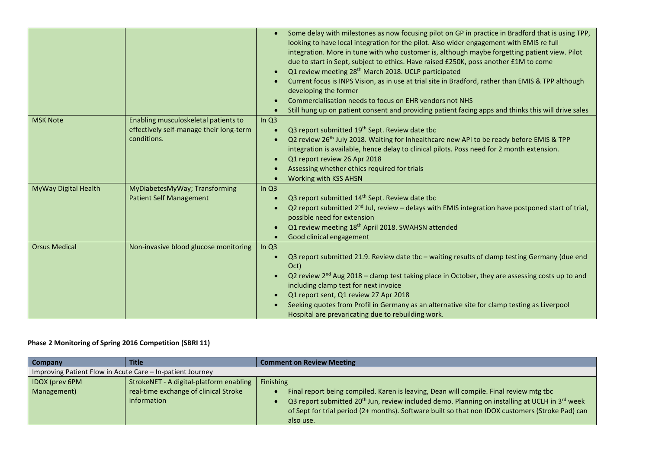|                                         |           | Some delay with milestones as now focusing pilot on GP in practice in Bradford that is using TPP,      |
|-----------------------------------------|-----------|--------------------------------------------------------------------------------------------------------|
|                                         |           | looking to have local integration for the pilot. Also wider engagement with EMIS re full               |
|                                         |           | integration. More in tune with who customer is, although maybe forgetting patient view. Pilot          |
|                                         |           | due to start in Sept, subject to ethics. Have raised £250K, poss another £1M to come                   |
|                                         | $\bullet$ | Q1 review meeting 28 <sup>th</sup> March 2018. UCLP participated                                       |
|                                         |           | Current focus is INPS Vision, as in use at trial site in Bradford, rather than EMIS & TPP although     |
|                                         |           | developing the former                                                                                  |
|                                         |           | Commercialisation needs to focus on EHR vendors not NHS                                                |
|                                         |           | Still hung up on patient consent and providing patient facing apps and thinks this will drive sales    |
| Enabling musculoskeletal patients to    | In Q3     |                                                                                                        |
| effectively self-manage their long-term | ×         | Q3 report submitted 19 <sup>th</sup> Sept. Review date tbc                                             |
| conditions.                             |           | Q2 review 26 <sup>th</sup> July 2018. Waiting for Inhealthcare new API to be ready before EMIS & TPP   |
|                                         |           | integration is available, hence delay to clinical pilots. Poss need for 2 month extension.             |
|                                         |           | Q1 report review 26 Apr 2018                                                                           |
|                                         |           | Assessing whether ethics required for trials                                                           |
|                                         |           | <b>Working with KSS AHSN</b>                                                                           |
| MyDiabetesMyWay; Transforming           | In $Q3$   |                                                                                                        |
| <b>Patient Self Management</b>          | ×         | Q3 report submitted 14 <sup>th</sup> Sept. Review date tbc                                             |
|                                         |           | Q2 report submitted $2^{nd}$ Jul, review – delays with EMIS integration have postponed start of trial, |
|                                         |           | possible need for extension                                                                            |
|                                         | $\bullet$ | Q1 review meeting 18 <sup>th</sup> April 2018. SWAHSN attended                                         |
|                                         |           | Good clinical engagement                                                                               |
| Non-invasive blood glucose monitoring   | In $Q3$   |                                                                                                        |
|                                         | $\bullet$ | Q3 report submitted 21.9. Review date tbc - waiting results of clamp testing Germany (due end          |
|                                         |           | Oct)                                                                                                   |
|                                         |           | Q2 review $2nd$ Aug 2018 – clamp test taking place in October, they are assessing costs up to and      |
|                                         |           | including clamp test for next invoice                                                                  |
|                                         |           | Q1 report sent, Q1 review 27 Apr 2018                                                                  |
|                                         |           | Seeking quotes from Profil in Germany as an alternative site for clamp testing as Liverpool            |
|                                         |           | Hospital are prevaricating due to rebuilding work.                                                     |
|                                         |           |                                                                                                        |

# **Phase 2 Monitoring of Spring 2016 Competition (SBRI 11)**

| Company                                                   | <b>Title</b>                            | <b>Comment on Review Meeting</b>                                                                                       |
|-----------------------------------------------------------|-----------------------------------------|------------------------------------------------------------------------------------------------------------------------|
| Improving Patient Flow in Acute Care – In-patient Journey |                                         |                                                                                                                        |
| <b>IDOX</b> (prev 6PM                                     | StrokeNET - A digital-platform enabling | <b>Finishing</b>                                                                                                       |
| Management)                                               | real-time exchange of clinical Stroke   | Final report being compiled. Karen is leaving, Dean will compile. Final review mtg tbc                                 |
|                                                           | information                             | Q3 report submitted 20 <sup>th</sup> Jun, review included demo. Planning on installing at UCLH in 3 <sup>rd</sup> week |
|                                                           |                                         | of Sept for trial period (2+ months). Software built so that non IDOX customers (Stroke Pad) can                       |
|                                                           |                                         | also use.                                                                                                              |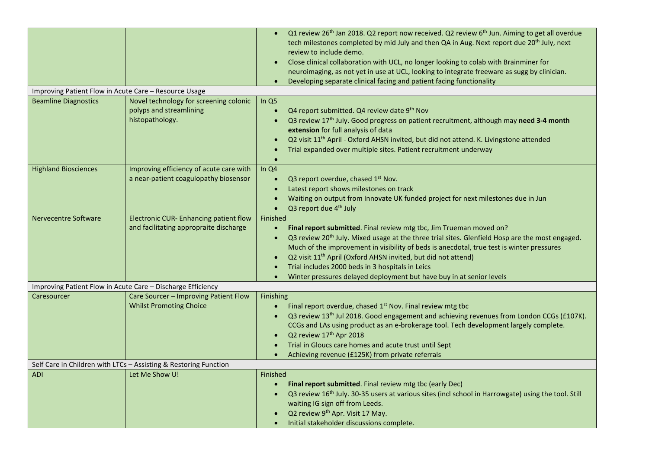|                                                       |                                                                                      | Q1 review 26 <sup>th</sup> Jan 2018. Q2 report now received. Q2 review 6 <sup>th</sup> Jun. Aiming to get all overdue<br>tech milestones completed by mid July and then QA in Aug. Next report due 20 <sup>th</sup> July, next<br>review to include demo.<br>Close clinical collaboration with UCL, no longer looking to colab with Brainminer for<br>neuroimaging, as not yet in use at UCL, looking to integrate freeware as sugg by clinician.<br>Developing separate clinical facing and patient facing functionality      |
|-------------------------------------------------------|--------------------------------------------------------------------------------------|--------------------------------------------------------------------------------------------------------------------------------------------------------------------------------------------------------------------------------------------------------------------------------------------------------------------------------------------------------------------------------------------------------------------------------------------------------------------------------------------------------------------------------|
| Improving Patient Flow in Acute Care - Resource Usage |                                                                                      |                                                                                                                                                                                                                                                                                                                                                                                                                                                                                                                                |
| <b>Beamline Diagnostics</b>                           | Novel technology for screening colonic<br>polyps and streamlining<br>histopathology. | In $Q5$<br>Q4 report submitted. Q4 review date 9th Nov<br>Q3 review 17 <sup>th</sup> July. Good progress on patient recruitment, although may need 3-4 month<br>extension for full analysis of data<br>Q2 visit 11 <sup>th</sup> April - Oxford AHSN invited, but did not attend. K. Livingstone attended<br>Trial expanded over multiple sites. Patient recruitment underway                                                                                                                                                  |
| <b>Highland Biosciences</b>                           | Improving efficiency of acute care with<br>a near-patient coagulopathy biosensor     | In Q4<br>Q3 report overdue, chased 1 <sup>st</sup> Nov.<br>$\bullet$<br>Latest report shows milestones on track<br>Waiting on output from Innovate UK funded project for next milestones due in Jun<br>Q3 report due 4 <sup>th</sup> July<br>$\bullet$                                                                                                                                                                                                                                                                         |
| <b>Nervecentre Software</b>                           | Electronic CUR- Enhancing patient flow<br>and facilitating appropraite discharge     | Finished<br>Final report submitted. Final review mtg tbc, Jim Trueman moved on?<br>$\bullet$<br>Q3 review 20 <sup>th</sup> July. Mixed usage at the three trial sites. Glenfield Hosp are the most engaged.<br>$\bullet$<br>Much of the improvement in visibility of beds is anecdotal, true test is winter pressures<br>Q2 visit 11 <sup>th</sup> April (Oxford AHSN invited, but did not attend)<br>Trial includes 2000 beds in 3 hospitals in Leics<br>Winter pressures delayed deployment but have buy in at senior levels |
|                                                       | Improving Patient Flow in Acute Care - Discharge Efficiency                          |                                                                                                                                                                                                                                                                                                                                                                                                                                                                                                                                |
| Caresourcer                                           | Care Sourcer - Improving Patient Flow<br><b>Whilst Promoting Choice</b>              | Finishing<br>Final report overdue, chased 1 <sup>st</sup> Nov. Final review mtg tbc<br>Q3 review 13 <sup>th</sup> Jul 2018. Good engagement and achieving revenues from London CCGs (£107K).<br>$\bullet$<br>CCGs and LAs using product as an e-brokerage tool. Tech development largely complete.<br>Q2 review 17 <sup>th</sup> Apr 2018<br>Trial in Gloucs care homes and acute trust until Sept<br>Achieving revenue (£125K) from private referrals                                                                         |
|                                                       | Self Care in Children with LTCs - Assisting & Restoring Function                     |                                                                                                                                                                                                                                                                                                                                                                                                                                                                                                                                |
| <b>ADI</b>                                            | Let Me Show U!                                                                       | Finished<br>Final report submitted. Final review mtg tbc (early Dec)<br>Q3 review 16 <sup>th</sup> July. 30-35 users at various sites (incl school in Harrowgate) using the tool. Still<br>waiting IG sign off from Leeds.<br>Q2 review 9 <sup>th</sup> Apr. Visit 17 May.<br>Initial stakeholder discussions complete.                                                                                                                                                                                                        |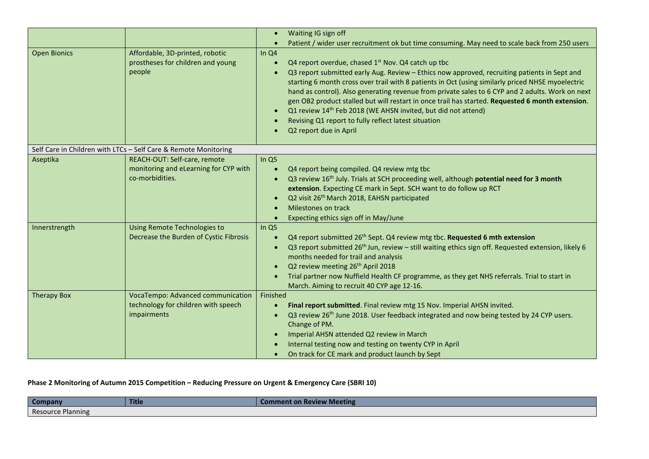|                     |                                                                                          | Waiting IG sign off<br>$\bullet$<br>Patient / wider user recruitment ok but time consuming. May need to scale back from 250 users<br>$\bullet$                                                                                                                                                                                                                                                                                                                                                                                                                                                                                                                                 |
|---------------------|------------------------------------------------------------------------------------------|--------------------------------------------------------------------------------------------------------------------------------------------------------------------------------------------------------------------------------------------------------------------------------------------------------------------------------------------------------------------------------------------------------------------------------------------------------------------------------------------------------------------------------------------------------------------------------------------------------------------------------------------------------------------------------|
| <b>Open Bionics</b> | Affordable, 3D-printed, robotic<br>prostheses for children and young<br>people           | In Q4<br>Q4 report overdue, chased 1 <sup>st</sup> Nov. Q4 catch up tbc<br>$\bullet$<br>Q3 report submitted early Aug. Review - Ethics now approved, recruiting patients in Sept and<br>$\bullet$<br>starting 6 month cross over trail with 8 patients in Oct (using similarly priced NHSE myoelectric<br>hand as control). Also generating revenue from private sales to 6 CYP and 2 adults. Work on next<br>gen OB2 product stalled but will restart in once trail has started. Requested 6 month extension.<br>Q1 review 14th Feb 2018 (WE AHSN invited, but did not attend)<br>$\bullet$<br>Revising Q1 report to fully reflect latest situation<br>Q2 report due in April |
|                     | Self Care in Children with LTCs - Self Care & Remote Monitoring                          |                                                                                                                                                                                                                                                                                                                                                                                                                                                                                                                                                                                                                                                                                |
| Aseptika            | REACH-OUT: Self-care, remote<br>monitoring and eLearning for CYP with<br>co-morbidities. | In Q5<br>Q4 report being compiled. Q4 review mtg tbc<br>$\bullet$<br>Q3 review 16 <sup>th</sup> July. Trials at SCH proceeding well, although <b>potential need for 3 month</b><br>$\bullet$<br>extension. Expecting CE mark in Sept. SCH want to do follow up RCT<br>Q2 visit 26 <sup>th</sup> March 2018, EAHSN participated<br>$\bullet$<br>Milestones on track<br>$\bullet$<br>Expecting ethics sign off in May/June<br>$\bullet$                                                                                                                                                                                                                                          |
| Innerstrength       | Using Remote Technologies to<br>Decrease the Burden of Cystic Fibrosis                   | In Q5<br>Q4 report submitted 26 <sup>th</sup> Sept. Q4 review mtg tbc. Requested 6 mth extension<br>$\bullet$<br>Q3 report submitted 26 <sup>th</sup> Jun, review - still waiting ethics sign off. Requested extension, likely 6<br>$\bullet$<br>months needed for trail and analysis<br>Q2 review meeting 26 <sup>th</sup> April 2018<br>$\bullet$<br>Trial partner now Nuffield Health CF programme, as they get NHS referrals. Trial to start in<br>$\bullet$<br>March. Aiming to recruit 40 CYP age 12-16.                                                                                                                                                                 |
| <b>Therapy Box</b>  | VocaTempo: Advanced communication<br>technology for children with speech<br>impairments  | Finished<br>Final report submitted. Final review mtg 15 Nov. Imperial AHSN invited.<br>$\bullet$<br>Q3 review 26 <sup>th</sup> June 2018. User feedback integrated and now being tested by 24 CYP users.<br>$\bullet$<br>Change of PM.<br>Imperial AHSN attended Q2 review in March<br>$\bullet$<br>Internal testing now and testing on twenty CYP in April<br>On track for CE mark and product launch by Sept<br>$\bullet$                                                                                                                                                                                                                                                    |

# **Phase 2 Monitoring of Autumn 2015 Competition – Reducing Pressure on Urgent & Emergency Care (SBRI 10)**

| <b>Company</b>    | Title | <b>Comment on Review Meeting</b> |
|-------------------|-------|----------------------------------|
| Resource Planning |       |                                  |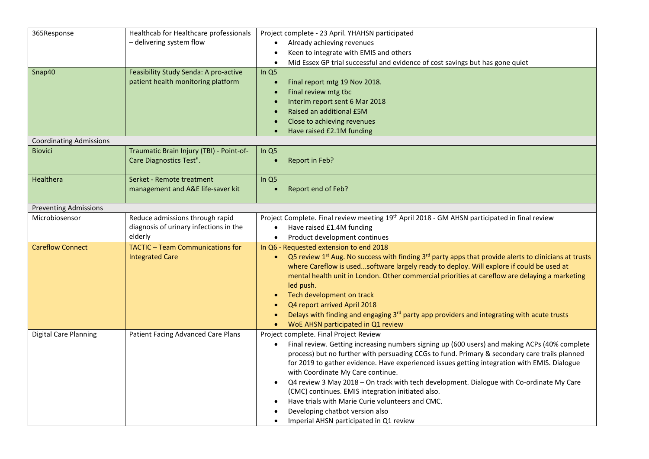| 365Response                    | Healthcab for Healthcare professionals   | Project complete - 23 April. YHAHSN participated                                                                                           |
|--------------------------------|------------------------------------------|--------------------------------------------------------------------------------------------------------------------------------------------|
|                                | - delivering system flow                 | Already achieving revenues                                                                                                                 |
|                                |                                          | Keen to integrate with EMIS and others<br>$\bullet$                                                                                        |
|                                |                                          | Mid Essex GP trial successful and evidence of cost savings but has gone quiet<br>$\bullet$                                                 |
| Snap40                         | Feasibility Study Senda: A pro-active    | In $Q5$                                                                                                                                    |
|                                | patient health monitoring platform       | Final report mtg 19 Nov 2018.<br>$\bullet$                                                                                                 |
|                                |                                          | Final review mtg tbc<br>$\bullet$                                                                                                          |
|                                |                                          | Interim report sent 6 Mar 2018<br>$\bullet$                                                                                                |
|                                |                                          | Raised an additional £5M                                                                                                                   |
|                                |                                          | Close to achieving revenues<br>$\bullet$                                                                                                   |
|                                |                                          | Have raised £2.1M funding                                                                                                                  |
| <b>Coordinating Admissions</b> |                                          |                                                                                                                                            |
| <b>Biovici</b>                 | Traumatic Brain Injury (TBI) - Point-of- | In $Q5$                                                                                                                                    |
|                                | Care Diagnostics Test".                  | Report in Feb?<br>$\bullet$                                                                                                                |
|                                |                                          |                                                                                                                                            |
| Healthera                      | Serket - Remote treatment                | In Q5                                                                                                                                      |
|                                | management and A&E life-saver kit        | Report end of Feb?<br>$\bullet$                                                                                                            |
|                                |                                          |                                                                                                                                            |
| <b>Preventing Admissions</b>   |                                          |                                                                                                                                            |
| Microbiosensor                 | Reduce admissions through rapid          | Project Complete. Final review meeting 19 <sup>th</sup> April 2018 - GM AHSN participated in final review                                  |
|                                | diagnosis of urinary infections in the   | Have raised £1.4M funding<br>$\bullet$                                                                                                     |
|                                | elderly                                  | Product development continues<br>$\bullet$                                                                                                 |
| <b>Careflow Connect</b>        | <b>TACTIC - Team Communications for</b>  | In Q6 - Requested extension to end 2018                                                                                                    |
|                                | <b>Integrated Care</b>                   | Q5 review 1 <sup>st</sup> Aug. No success with finding 3 <sup>rd</sup> party apps that provide alerts to clinicians at trusts<br>$\bullet$ |
|                                |                                          | where Careflow is usedsoftware largely ready to deploy. Will explore if could be used at                                                   |
|                                |                                          | mental health unit in London. Other commercial priorities at careflow are delaying a marketing                                             |
|                                |                                          | led push.                                                                                                                                  |
|                                |                                          | Tech development on track<br>$\bullet$                                                                                                     |
|                                |                                          | Q4 report arrived April 2018<br>$\bullet$                                                                                                  |
|                                |                                          | Delays with finding and engaging 3 <sup>rd</sup> party app providers and integrating with acute trusts<br>$\bullet$                        |
|                                |                                          | WoE AHSN participated in Q1 review<br>$\bullet$                                                                                            |
| <b>Digital Care Planning</b>   | Patient Facing Advanced Care Plans       | Project complete. Final Project Review                                                                                                     |
|                                |                                          | Final review. Getting increasing numbers signing up (600 users) and making ACPs (40% complete<br>$\bullet$                                 |
|                                |                                          | process) but no further with persuading CCGs to fund. Primary & secondary care trails planned                                              |
|                                |                                          | for 2019 to gather evidence. Have experienced issues getting integration with EMIS. Dialogue                                               |
|                                |                                          | with Coordinate My Care continue.                                                                                                          |
|                                |                                          | Q4 review 3 May 2018 - On track with tech development. Dialogue with Co-ordinate My Care<br>$\bullet$                                      |
|                                |                                          | (CMC) continues. EMIS integration initiated also.                                                                                          |
|                                |                                          | Have trials with Marie Curie volunteers and CMC.<br>$\bullet$                                                                              |
|                                |                                          | Developing chatbot version also                                                                                                            |
|                                |                                          | Imperial AHSN participated in Q1 review<br>$\bullet$                                                                                       |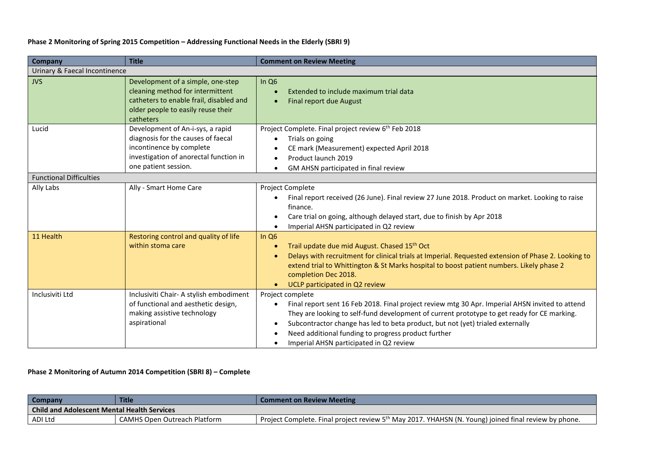### **Phase 2 Monitoring of Spring 2015 Competition – Addressing Functional Needs in the Elderly (SBRI 9)**

| <b>Company</b>                 | <b>Title</b>                                                                                                                                                         | <b>Comment on Review Meeting</b>                                                                                                                                                                                                                                                                                                                                                                                         |
|--------------------------------|----------------------------------------------------------------------------------------------------------------------------------------------------------------------|--------------------------------------------------------------------------------------------------------------------------------------------------------------------------------------------------------------------------------------------------------------------------------------------------------------------------------------------------------------------------------------------------------------------------|
| Urinary & Faecal Incontinence  |                                                                                                                                                                      |                                                                                                                                                                                                                                                                                                                                                                                                                          |
| <b>JVS</b>                     | Development of a simple, one-step<br>cleaning method for intermittent<br>catheters to enable frail, disabled and<br>older people to easily reuse their<br>catheters  | In $Q6$<br>Extended to include maximum trial data<br>Final report due August<br>$\bullet$                                                                                                                                                                                                                                                                                                                                |
| Lucid                          | Development of An-i-sys, a rapid<br>diagnosis for the causes of faecal<br>incontinence by complete<br>investigation of anorectal function in<br>one patient session. | Project Complete. Final project review 6 <sup>th</sup> Feb 2018<br>Trials on going<br>CE mark (Measurement) expected April 2018<br>Product launch 2019<br>$\bullet$<br>GM AHSN participated in final review<br>$\bullet$                                                                                                                                                                                                 |
| <b>Functional Difficulties</b> |                                                                                                                                                                      |                                                                                                                                                                                                                                                                                                                                                                                                                          |
| Ally Labs                      | Ally - Smart Home Care                                                                                                                                               | Project Complete<br>Final report received (26 June). Final review 27 June 2018. Product on market. Looking to raise<br>finance.<br>Care trial on going, although delayed start, due to finish by Apr 2018<br>$\bullet$<br>Imperial AHSN participated in Q2 review                                                                                                                                                        |
| 11 Health                      | Restoring control and quality of life<br>within stoma care                                                                                                           | In $Q6$<br>Trail update due mid August. Chased 15th Oct<br>$\bullet$<br>Delays with recruitment for clinical trials at Imperial. Requested extension of Phase 2. Looking to<br>$\bullet$<br>extend trial to Whittington & St Marks hospital to boost patient numbers. Likely phase 2<br>completion Dec 2018.<br>UCLP participated in Q2 review<br>$\bullet$                                                              |
| Inclusiviti Ltd                | Inclusiviti Chair- A stylish embodiment<br>of functional and aesthetic design,<br>making assistive technology<br>aspirational                                        | Project complete<br>Final report sent 16 Feb 2018. Final project review mtg 30 Apr. Imperial AHSN invited to attend<br>$\bullet$<br>They are looking to self-fund development of current prototype to get ready for CE marking.<br>Subcontractor change has led to beta product, but not (yet) trialed externally<br>٠<br>Need additional funding to progress product further<br>Imperial AHSN participated in Q2 review |

### **Phase 2 Monitoring of Autumn 2014 Competition (SBRI 8) – Complete**

| <b>Company</b>                                     | <b>Title</b>                        | <b>Comment on Review Meeting</b>                                                                                 |  |
|----------------------------------------------------|-------------------------------------|------------------------------------------------------------------------------------------------------------------|--|
| <b>Child and Adolescent Mental Health Services</b> |                                     |                                                                                                                  |  |
| ADI Ltd                                            | <b>CAMHS Open Outreach Platform</b> | Project Complete. Final project review 5 <sup>th</sup> May 2017. YHAHSN (N. Young) joined final review by phone. |  |